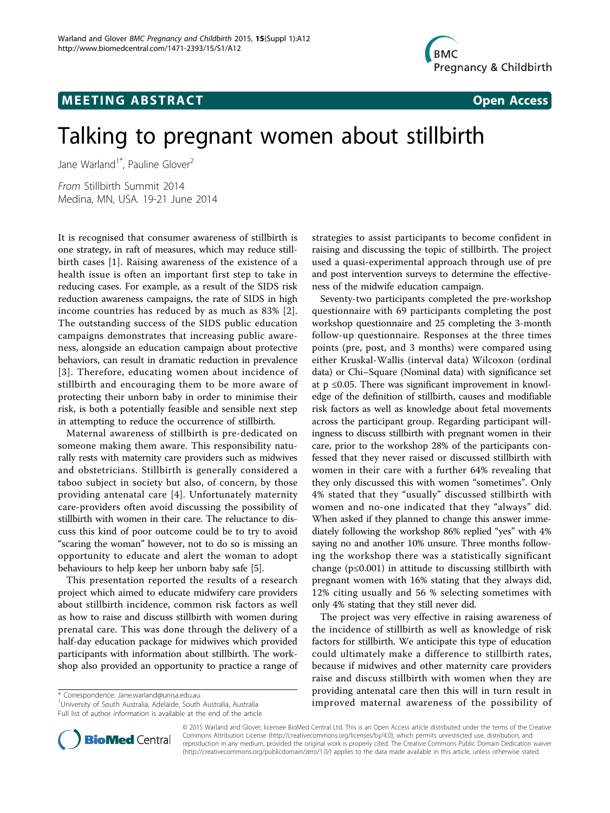

# **MEETING ABSTRACT ACCESS**

# Talking to pregnant women about stillbirth

Jane Warland<sup>1\*</sup>, Pauline Glover<sup>2</sup>

From Stillbirth Summit 2014 Medina, MN, USA. 19-21 June 2014

It is recognised that consumer awareness of stillbirth is one strategy, in raft of measures, which may reduce stillbirth cases [\[1](#page-1-0)]. Raising awareness of the existence of a health issue is often an important first step to take in reducing cases. For example, as a result of the SIDS risk reduction awareness campaigns, the rate of SIDS in high income countries has reduced by as much as 83% [[2\]](#page-1-0). The outstanding success of the SIDS public education campaigns demonstrates that increasing public awareness, alongside an education campaign about protective behaviors, can result in dramatic reduction in prevalence [[3\]](#page-1-0). Therefore, educating women about incidence of stillbirth and encouraging them to be more aware of protecting their unborn baby in order to minimise their risk, is both a potentially feasible and sensible next step in attempting to reduce the occurrence of stillbirth.

Maternal awareness of stillbirth is pre-dedicated on someone making them aware. This responsibility naturally rests with maternity care providers such as midwives and obstetricians. Stillbirth is generally considered a taboo subject in society but also, of concern, by those providing antenatal care [[4](#page-1-0)]. Unfortunately maternity care-providers often avoid discussing the possibility of stillbirth with women in their care. The reluctance to discuss this kind of poor outcome could be to try to avoid "scaring the woman" however, not to do so is missing an opportunity to educate and alert the woman to adopt behaviours to help keep her unborn baby safe [\[5\]](#page-1-0).

This presentation reported the results of a research project which aimed to educate midwifery care providers about stillbirth incidence, common risk factors as well as how to raise and discuss stillbirth with women during prenatal care. This was done through the delivery of a half-day education package for midwives which provided participants with information about stillbirth. The workshop also provided an opportunity to practice a range of

<sup>1</sup>University of South Australia, Adelaide, South Australia, Australia Full list of author information is available at the end of the article



Seventy-two participants completed the pre-workshop questionnaire with 69 participants completing the post workshop questionnaire and 25 completing the 3-month follow-up questionnaire. Responses at the three times points (pre, post, and 3 months) were compared using either Kruskal-Wallis (interval data) Wilcoxon (ordinal data) or Chi–Square (Nominal data) with significance set at  $p \leq 0.05$ . There was significant improvement in knowledge of the definition of stillbirth, causes and modifiable risk factors as well as knowledge about fetal movements across the participant group. Regarding participant willingness to discuss stillbirth with pregnant women in their care, prior to the workshop 28% of the participants confessed that they never raised or discussed stillbirth with women in their care with a further 64% revealing that they only discussed this with women "sometimes". Only 4% stated that they "usually" discussed stillbirth with women and no-one indicated that they "always" did. When asked if they planned to change this answer immediately following the workshop 86% replied "yes" with 4% saying no and another 10% unsure. Three months following the workshop there was a statistically significant change (p≤0.001) in attitude to discussing stillbirth with pregnant women with 16% stating that they always did, 12% citing usually and 56 % selecting sometimes with only 4% stating that they still never did.

The project was very effective in raising awareness of the incidence of stillbirth as well as knowledge of risk factors for stillbirth. We anticipate this type of education could ultimately make a difference to stillbirth rates, because if midwives and other maternity care providers raise and discuss stillbirth with women when they are providing antenatal care then this will in turn result in torrespondence: [Jane.warland@unisa.edu.au](mailto:Jane.warland@unisa.edu.au) Australia, Australia and the possibility of \* Correspondence: Jane.warland@unisa.edu.au Australia, Australia, Australia, Australia, Australia, Australia, Australia, Australia, Aust



© 2015 Warland and Glover; licensee BioMed Central Ltd. This is an Open Access article distributed under the terms of the Creative Commons Attribution License [\(http://creativecommons.org/licenses/by/4.0](http://creativecommons.org/licenses/by/4.0)), which permits unrestricted use, distribution, and reproduction in any medium, provided the original work is properly cited. The Creative Commons Public Domain Dedication waiver [\(http://creativecommons.org/publicdomain/zero/1.0/](http://creativecommons.org/publicdomain/zero/1.0/)) applies to the data made available in this article, unless otherwise stated.